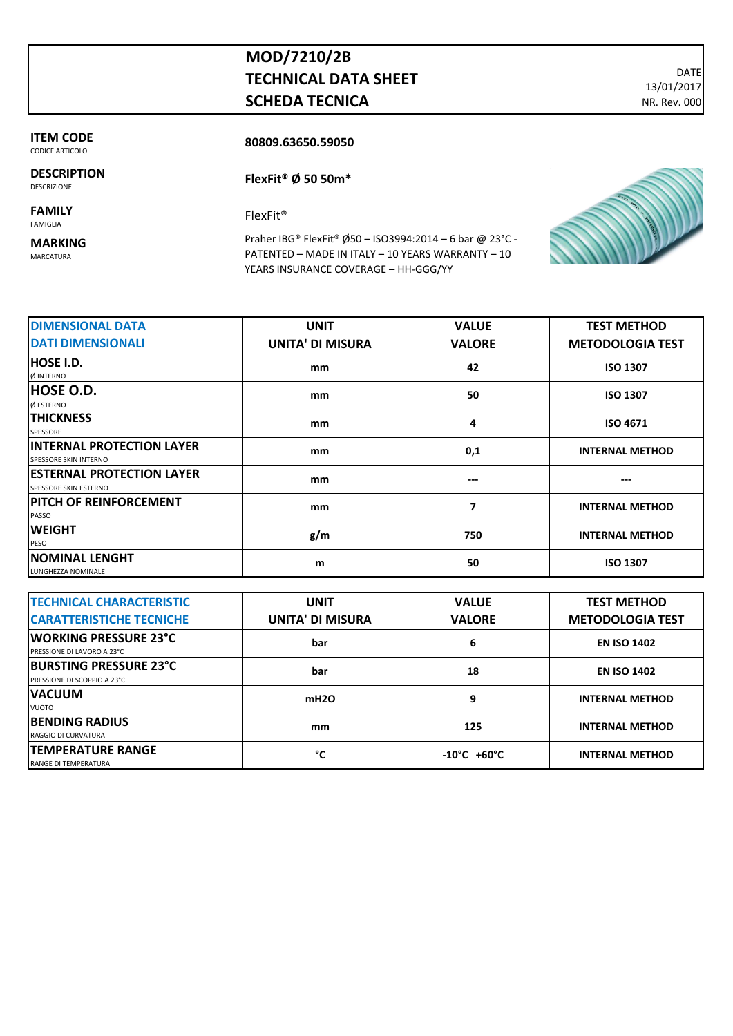## **MOD/7210/2B TECHNICAL DATA SHEET SCHEDA TECNICA**

DATE 13/01/2017 NR. Rev. 000

**ITEM CODE**  CODICE ARTICOLO

**DESCRIPTION** DESCRIZIONE

**FAMILY** FAMIGLIA

**MARKING**

MARCATURA

Praher IBG® FlexFit® Ø50 – ISO3994:2014 – 6 bar @ 23°C - PATENTED – MADE IN ITALY – 10 YEARS WARRANTY – 10 YEARS INSURANCE COVERAGE – HH-GGG/YY

| <b>DIMENSIONAL DATA</b>                                   | <b>UNIT</b>             | <b>VALUE</b>  | <b>TEST METHOD</b>      |
|-----------------------------------------------------------|-------------------------|---------------|-------------------------|
| <b>DATI DIMENSIONALI</b>                                  | <b>UNITA' DI MISURA</b> | <b>VALORE</b> | <b>METODOLOGIA TEST</b> |
| <b>HOSE I.D.</b><br>Ø INTERNO                             | mm                      | 42            | <b>ISO 1307</b>         |
| <b>HOSE O.D.</b><br>Ø ESTERNO                             | mm                      | 50            | <b>ISO 1307</b>         |
| <b>ITHICKNESS</b><br>SPESSORE                             | mm                      | 4             | <b>ISO 4671</b>         |
| <b>INTERNAL PROTECTION LAYER</b><br>SPESSORE SKIN INTERNO | mm                      | 0,1           | <b>INTERNAL METHOD</b>  |
| <b>ESTERNAL PROTECTION LAYER</b><br>SPESSORE SKIN ESTERNO | mm                      | ---           | ---                     |
| <b>PITCH OF REINFORCEMENT</b><br>PASSO                    | mm                      | 7             | <b>INTERNAL METHOD</b>  |
| <b>WEIGHT</b><br>PESO                                     | g/m                     | 750           | <b>INTERNAL METHOD</b>  |
| <b>NOMINAL LENGHT</b><br>LUNGHEZZA NOMINALE               | m                       | 50            | <b>ISO 1307</b>         |

| <b>TECHNICAL CHARACTERISTIC</b>                              | <b>UNIT</b>             | <b>VALUE</b>                    | <b>TEST METHOD</b>      |
|--------------------------------------------------------------|-------------------------|---------------------------------|-------------------------|
| <b>CARATTERISTICHE TECNICHE</b>                              | <b>UNITA' DI MISURA</b> | <b>VALORE</b>                   | <b>METODOLOGIA TEST</b> |
| <b>IWORKING PRESSURE 23°C</b><br>PRESSIONE DI LAVORO A 23°C  | bar                     | 6                               | <b>EN ISO 1402</b>      |
| <b>BURSTING PRESSURE 23°C</b><br>PRESSIONE DI SCOPPIO A 23°C | bar                     | 18                              | <b>EN ISO 1402</b>      |
| <b>IVACUUM</b><br><b>VUOTO</b>                               | mH2O                    | 9                               | <b>INTERNAL METHOD</b>  |
| <b>IBENDING RADIUS</b><br>RAGGIO DI CURVATURA                | mm                      | 125                             | <b>INTERNAL METHOD</b>  |
| <b>TEMPERATURE RANGE</b><br>RANGE DI TEMPERATURA             | °C                      | $-10^{\circ}$ C $+60^{\circ}$ C | <b>INTERNAL METHOD</b>  |



**80809.63650.59050**

**FlexFit® Ø 50 50m\***

FlexFit®